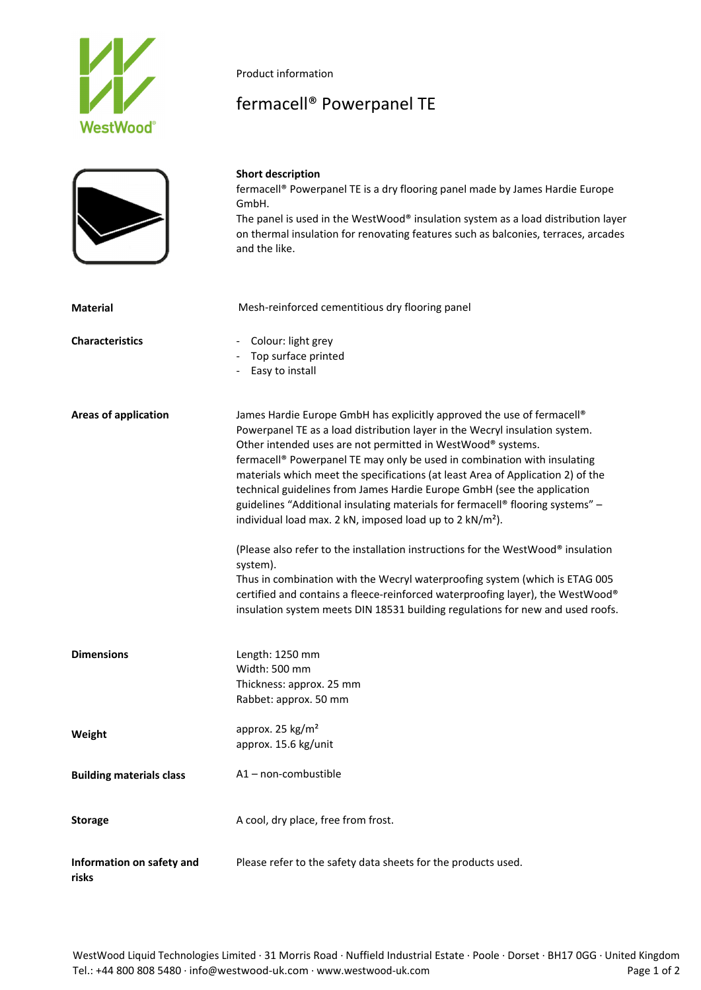

Product information

## fermacell® Powerpanel TE

|                                    | <b>Short description</b><br>fermacell® Powerpanel TE is a dry flooring panel made by James Hardie Europe<br>GmbH.<br>The panel is used in the WestWood® insulation system as a load distribution layer<br>on thermal insulation for renovating features such as balconies, terraces, arcades<br>and the like.                                                                                                                                                                                                                                                                                                                                                                                                                                                                                                                                                                                                                                                               |
|------------------------------------|-----------------------------------------------------------------------------------------------------------------------------------------------------------------------------------------------------------------------------------------------------------------------------------------------------------------------------------------------------------------------------------------------------------------------------------------------------------------------------------------------------------------------------------------------------------------------------------------------------------------------------------------------------------------------------------------------------------------------------------------------------------------------------------------------------------------------------------------------------------------------------------------------------------------------------------------------------------------------------|
| <b>Material</b>                    | Mesh-reinforced cementitious dry flooring panel                                                                                                                                                                                                                                                                                                                                                                                                                                                                                                                                                                                                                                                                                                                                                                                                                                                                                                                             |
| <b>Characteristics</b>             | Colour: light grey<br>Top surface printed<br>Easy to install                                                                                                                                                                                                                                                                                                                                                                                                                                                                                                                                                                                                                                                                                                                                                                                                                                                                                                                |
| <b>Areas of application</b>        | James Hardie Europe GmbH has explicitly approved the use of fermacell®<br>Powerpanel TE as a load distribution layer in the Wecryl insulation system.<br>Other intended uses are not permitted in WestWood® systems.<br>fermacell® Powerpanel TE may only be used in combination with insulating<br>materials which meet the specifications (at least Area of Application 2) of the<br>technical guidelines from James Hardie Europe GmbH (see the application<br>guidelines "Additional insulating materials for fermacell® flooring systems" -<br>individual load max. 2 kN, imposed load up to 2 kN/m <sup>2</sup> ).<br>(Please also refer to the installation instructions for the WestWood® insulation<br>system).<br>Thus in combination with the Wecryl waterproofing system (which is ETAG 005<br>certified and contains a fleece-reinforced waterproofing layer), the WestWood®<br>insulation system meets DIN 18531 building regulations for new and used roofs. |
| <b>Dimensions</b>                  | Length: 1250 mm<br>Width: 500 mm<br>Thickness: approx. 25 mm<br>Rabbet: approx. 50 mm                                                                                                                                                                                                                                                                                                                                                                                                                                                                                                                                                                                                                                                                                                                                                                                                                                                                                       |
| Weight                             | approx. 25 kg/m <sup>2</sup><br>approx. 15.6 kg/unit                                                                                                                                                                                                                                                                                                                                                                                                                                                                                                                                                                                                                                                                                                                                                                                                                                                                                                                        |
| <b>Building materials class</b>    | A1-non-combustible                                                                                                                                                                                                                                                                                                                                                                                                                                                                                                                                                                                                                                                                                                                                                                                                                                                                                                                                                          |
| <b>Storage</b>                     | A cool, dry place, free from frost.                                                                                                                                                                                                                                                                                                                                                                                                                                                                                                                                                                                                                                                                                                                                                                                                                                                                                                                                         |
| Information on safety and<br>risks | Please refer to the safety data sheets for the products used.                                                                                                                                                                                                                                                                                                                                                                                                                                                                                                                                                                                                                                                                                                                                                                                                                                                                                                               |